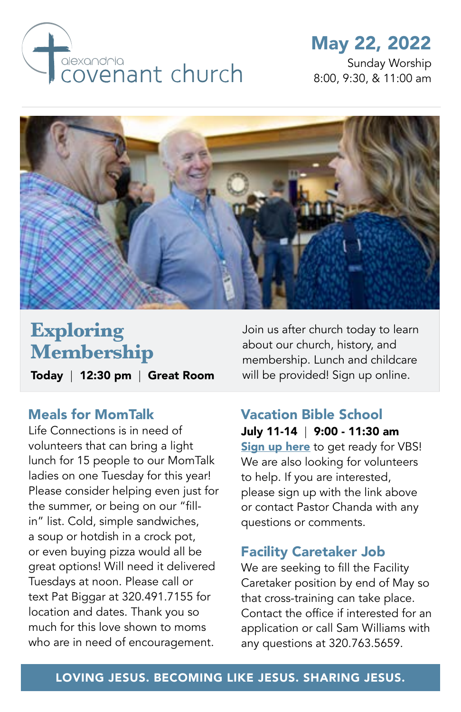

## May 22, 2022

Sunday Worship 8:00, 9:30, & 11:00 am



# **Exploring Membership**

Today | 12:30 pm | Great Room

#### Meals for MomTalk

Life Connections is in need of volunteers that can bring a light lunch for 15 people to our MomTalk ladies on one Tuesday for this year! Please consider helping even just for the summer, or being on our "fillin" list. Cold, simple sandwiches, a soup or hotdish in a crock pot, or even buying pizza would all be great options! Will need it delivered Tuesdays at noon. Please call or text Pat Biggar at 320.491.7155 for location and dates. Thank you so much for this love shown to moms who are in need of encouragement.

Join us after church today to learn about our church, history, and membership. Lunch and childcare will be provided! Sign up online.

### Vacation Bible School

July 11-14 | 9:00 - 11:30 am **[Sign up here](https://alexandriacovenant.ccbchurch.com/goto/forms/333/responses/new)** to get ready for VBS! We are also looking for volunteers to help. If you are interested, please sign up with the link above or contact Pastor Chanda with any questions or comments.

#### Facility Caretaker Job

We are seeking to fill the Facility Caretaker position by end of May so that cross-training can take place. Contact the office if interested for an application or call Sam Williams with any questions at 320.763.5659.

#### LOVING JESUS. BECOMING LIKE JESUS. SHARING JESUS.